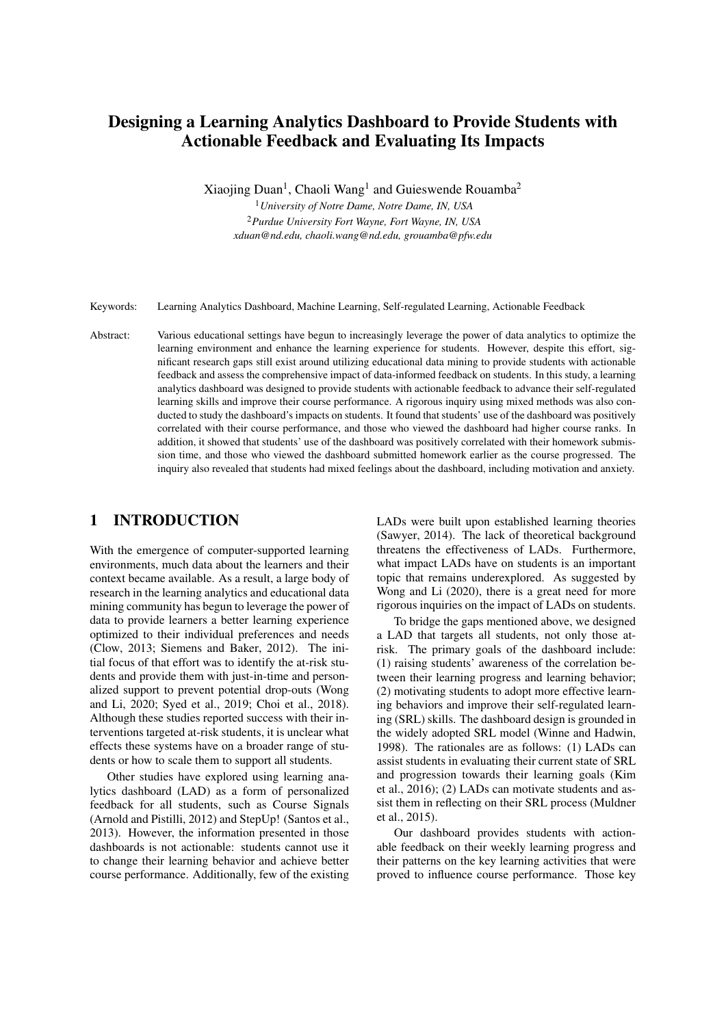# Designing a Learning Analytics Dashboard to Provide Students with Actionable Feedback and Evaluating Its Impacts

Xiaojing Duan<sup>1</sup>, Chaoli Wang<sup>1</sup> and Guieswende Rouamba<sup>2</sup>

<sup>1</sup>*University of Notre Dame, Notre Dame, IN, USA* <sup>2</sup>*Purdue University Fort Wayne, Fort Wayne, IN, USA xduan@nd.edu, chaoli.wang@nd.edu, grouamba@pfw.edu*

Keywords: Learning Analytics Dashboard, Machine Learning, Self-regulated Learning, Actionable Feedback

Abstract: Various educational settings have begun to increasingly leverage the power of data analytics to optimize the learning environment and enhance the learning experience for students. However, despite this effort, significant research gaps still exist around utilizing educational data mining to provide students with actionable feedback and assess the comprehensive impact of data-informed feedback on students. In this study, a learning analytics dashboard was designed to provide students with actionable feedback to advance their self-regulated learning skills and improve their course performance. A rigorous inquiry using mixed methods was also conducted to study the dashboard's impacts on students. It found that students' use of the dashboard was positively correlated with their course performance, and those who viewed the dashboard had higher course ranks. In addition, it showed that students' use of the dashboard was positively correlated with their homework submission time, and those who viewed the dashboard submitted homework earlier as the course progressed. The inquiry also revealed that students had mixed feelings about the dashboard, including motivation and anxiety.

## 1 INTRODUCTION

With the emergence of computer-supported learning environments, much data about the learners and their context became available. As a result, a large body of research in the learning analytics and educational data mining community has begun to leverage the power of data to provide learners a better learning experience optimized to their individual preferences and needs (Clow, 2013; Siemens and Baker, 2012). The initial focus of that effort was to identify the at-risk students and provide them with just-in-time and personalized support to prevent potential drop-outs (Wong and Li, 2020; Syed et al., 2019; Choi et al., 2018). Although these studies reported success with their interventions targeted at-risk students, it is unclear what effects these systems have on a broader range of students or how to scale them to support all students.

Other studies have explored using learning analytics dashboard (LAD) as a form of personalized feedback for all students, such as Course Signals (Arnold and Pistilli, 2012) and StepUp! (Santos et al., 2013). However, the information presented in those dashboards is not actionable: students cannot use it to change their learning behavior and achieve better course performance. Additionally, few of the existing

LADs were built upon established learning theories (Sawyer, 2014). The lack of theoretical background threatens the effectiveness of LADs. Furthermore, what impact LADs have on students is an important topic that remains underexplored. As suggested by Wong and Li (2020), there is a great need for more rigorous inquiries on the impact of LADs on students.

To bridge the gaps mentioned above, we designed a LAD that targets all students, not only those atrisk. The primary goals of the dashboard include: (1) raising students' awareness of the correlation between their learning progress and learning behavior; (2) motivating students to adopt more effective learning behaviors and improve their self-regulated learning (SRL) skills. The dashboard design is grounded in the widely adopted SRL model (Winne and Hadwin, 1998). The rationales are as follows: (1) LADs can assist students in evaluating their current state of SRL and progression towards their learning goals (Kim et al., 2016); (2) LADs can motivate students and assist them in reflecting on their SRL process (Muldner et al., 2015).

Our dashboard provides students with actionable feedback on their weekly learning progress and their patterns on the key learning activities that were proved to influence course performance. Those key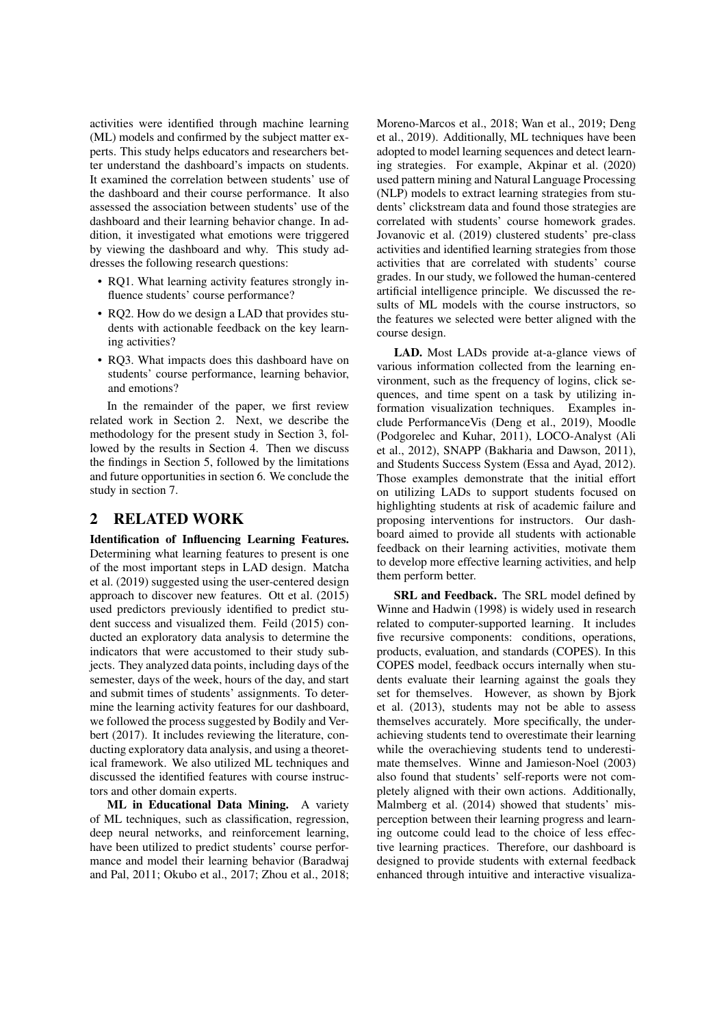activities were identified through machine learning (ML) models and confirmed by the subject matter experts. This study helps educators and researchers better understand the dashboard's impacts on students. It examined the correlation between students' use of the dashboard and their course performance. It also assessed the association between students' use of the dashboard and their learning behavior change. In addition, it investigated what emotions were triggered by viewing the dashboard and why. This study addresses the following research questions:

- RQ1. What learning activity features strongly influence students' course performance?
- RQ2. How do we design a LAD that provides students with actionable feedback on the key learning activities?
- RQ3. What impacts does this dashboard have on students' course performance, learning behavior, and emotions?

In the remainder of the paper, we first review related work in Section 2. Next, we describe the methodology for the present study in Section 3, followed by the results in Section 4. Then we discuss the findings in Section 5, followed by the limitations and future opportunities in section 6. We conclude the study in section 7.

### 2 RELATED WORK

Identification of Influencing Learning Features. Determining what learning features to present is one of the most important steps in LAD design. Matcha et al. (2019) suggested using the user-centered design approach to discover new features. Ott et al. (2015) used predictors previously identified to predict student success and visualized them. Feild (2015) conducted an exploratory data analysis to determine the indicators that were accustomed to their study subjects. They analyzed data points, including days of the semester, days of the week, hours of the day, and start and submit times of students' assignments. To determine the learning activity features for our dashboard, we followed the process suggested by Bodily and Verbert (2017). It includes reviewing the literature, conducting exploratory data analysis, and using a theoretical framework. We also utilized ML techniques and discussed the identified features with course instructors and other domain experts.

ML in Educational Data Mining. A variety of ML techniques, such as classification, regression, deep neural networks, and reinforcement learning, have been utilized to predict students' course performance and model their learning behavior (Baradwaj and Pal, 2011; Okubo et al., 2017; Zhou et al., 2018; Moreno-Marcos et al., 2018; Wan et al., 2019; Deng et al., 2019). Additionally, ML techniques have been adopted to model learning sequences and detect learning strategies. For example, Akpinar et al. (2020) used pattern mining and Natural Language Processing (NLP) models to extract learning strategies from students' clickstream data and found those strategies are correlated with students' course homework grades. Jovanovic et al. (2019) clustered students' pre-class activities and identified learning strategies from those activities that are correlated with students' course grades. In our study, we followed the human-centered artificial intelligence principle. We discussed the results of ML models with the course instructors, so the features we selected were better aligned with the course design.

LAD. Most LADs provide at-a-glance views of various information collected from the learning environment, such as the frequency of logins, click sequences, and time spent on a task by utilizing information visualization techniques. Examples include PerformanceVis (Deng et al., 2019), Moodle (Podgorelec and Kuhar, 2011), LOCO-Analyst (Ali et al., 2012), SNAPP (Bakharia and Dawson, 2011), and Students Success System (Essa and Ayad, 2012). Those examples demonstrate that the initial effort on utilizing LADs to support students focused on highlighting students at risk of academic failure and proposing interventions for instructors. Our dashboard aimed to provide all students with actionable feedback on their learning activities, motivate them to develop more effective learning activities, and help them perform better.

SRL and Feedback. The SRL model defined by Winne and Hadwin (1998) is widely used in research related to computer-supported learning. It includes five recursive components: conditions, operations, products, evaluation, and standards (COPES). In this COPES model, feedback occurs internally when students evaluate their learning against the goals they set for themselves. However, as shown by Bjork et al. (2013), students may not be able to assess themselves accurately. More specifically, the underachieving students tend to overestimate their learning while the overachieving students tend to underestimate themselves. Winne and Jamieson-Noel (2003) also found that students' self-reports were not completely aligned with their own actions. Additionally, Malmberg et al. (2014) showed that students' misperception between their learning progress and learning outcome could lead to the choice of less effective learning practices. Therefore, our dashboard is designed to provide students with external feedback enhanced through intuitive and interactive visualiza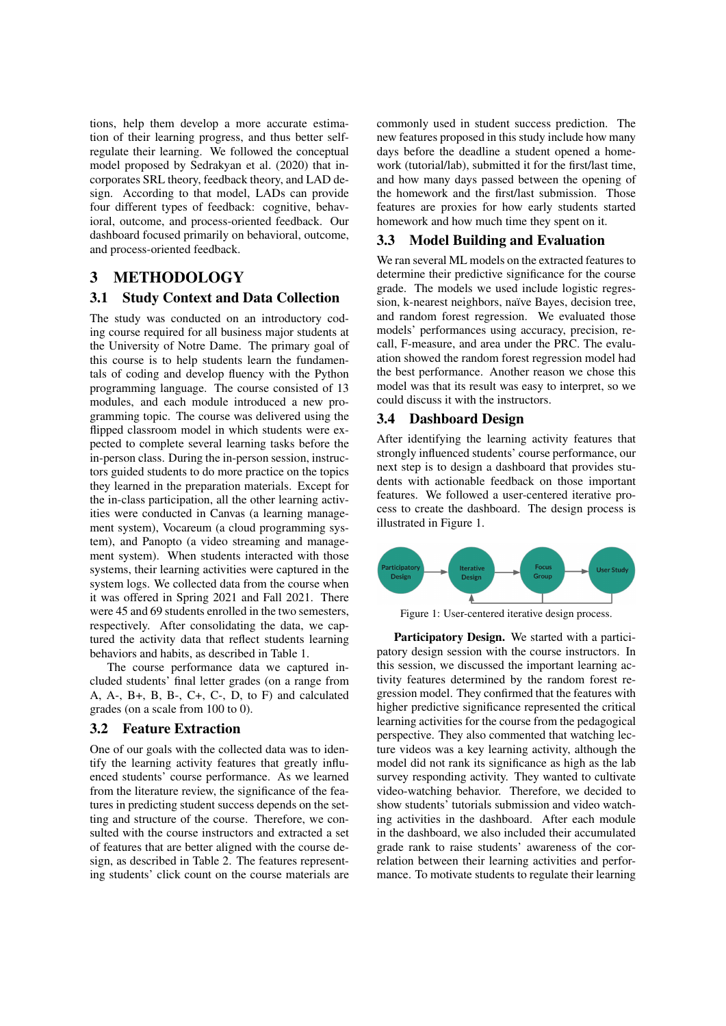tions, help them develop a more accurate estimation of their learning progress, and thus better selfregulate their learning. We followed the conceptual model proposed by Sedrakyan et al. (2020) that incorporates SRL theory, feedback theory, and LAD design. According to that model, LADs can provide four different types of feedback: cognitive, behavioral, outcome, and process-oriented feedback. Our dashboard focused primarily on behavioral, outcome, and process-oriented feedback.

### 3 METHODOLOGY

#### 3.1 Study Context and Data Collection

The study was conducted on an introductory coding course required for all business major students at the University of Notre Dame. The primary goal of this course is to help students learn the fundamentals of coding and develop fluency with the Python programming language. The course consisted of 13 modules, and each module introduced a new programming topic. The course was delivered using the flipped classroom model in which students were expected to complete several learning tasks before the in-person class. During the in-person session, instructors guided students to do more practice on the topics they learned in the preparation materials. Except for the in-class participation, all the other learning activities were conducted in Canvas (a learning management system), Vocareum (a cloud programming system), and Panopto (a video streaming and management system). When students interacted with those systems, their learning activities were captured in the system logs. We collected data from the course when it was offered in Spring 2021 and Fall 2021. There were 45 and 69 students enrolled in the two semesters, respectively. After consolidating the data, we captured the activity data that reflect students learning behaviors and habits, as described in Table 1.

The course performance data we captured included students' final letter grades (on a range from A, A-, B+, B, B-, C+, C-, D, to F) and calculated grades (on a scale from 100 to 0).

#### 3.2 Feature Extraction

One of our goals with the collected data was to identify the learning activity features that greatly influenced students' course performance. As we learned from the literature review, the significance of the features in predicting student success depends on the setting and structure of the course. Therefore, we consulted with the course instructors and extracted a set of features that are better aligned with the course design, as described in Table 2. The features representing students' click count on the course materials are commonly used in student success prediction. The new features proposed in this study include how many days before the deadline a student opened a homework (tutorial/lab), submitted it for the first/last time, and how many days passed between the opening of the homework and the first/last submission. Those features are proxies for how early students started homework and how much time they spent on it.

#### 3.3 Model Building and Evaluation

We ran several ML models on the extracted features to determine their predictive significance for the course grade. The models we used include logistic regression, k-nearest neighbors, naïve Bayes, decision tree, and random forest regression. We evaluated those models' performances using accuracy, precision, recall, F-measure, and area under the PRC. The evaluation showed the random forest regression model had the best performance. Another reason we chose this model was that its result was easy to interpret, so we could discuss it with the instructors.

#### 3.4 Dashboard Design

After identifying the learning activity features that strongly influenced students' course performance, our next step is to design a dashboard that provides students with actionable feedback on those important features. We followed a user-centered iterative process to create the dashboard. The design process is illustrated in Figure 1.



Figure 1: User-centered iterative design process.

Participatory Design. We started with a participatory design session with the course instructors. In this session, we discussed the important learning activity features determined by the random forest regression model. They confirmed that the features with higher predictive significance represented the critical learning activities for the course from the pedagogical perspective. They also commented that watching lecture videos was a key learning activity, although the model did not rank its significance as high as the lab survey responding activity. They wanted to cultivate video-watching behavior. Therefore, we decided to show students' tutorials submission and video watching activities in the dashboard. After each module in the dashboard, we also included their accumulated grade rank to raise students' awareness of the correlation between their learning activities and performance. To motivate students to regulate their learning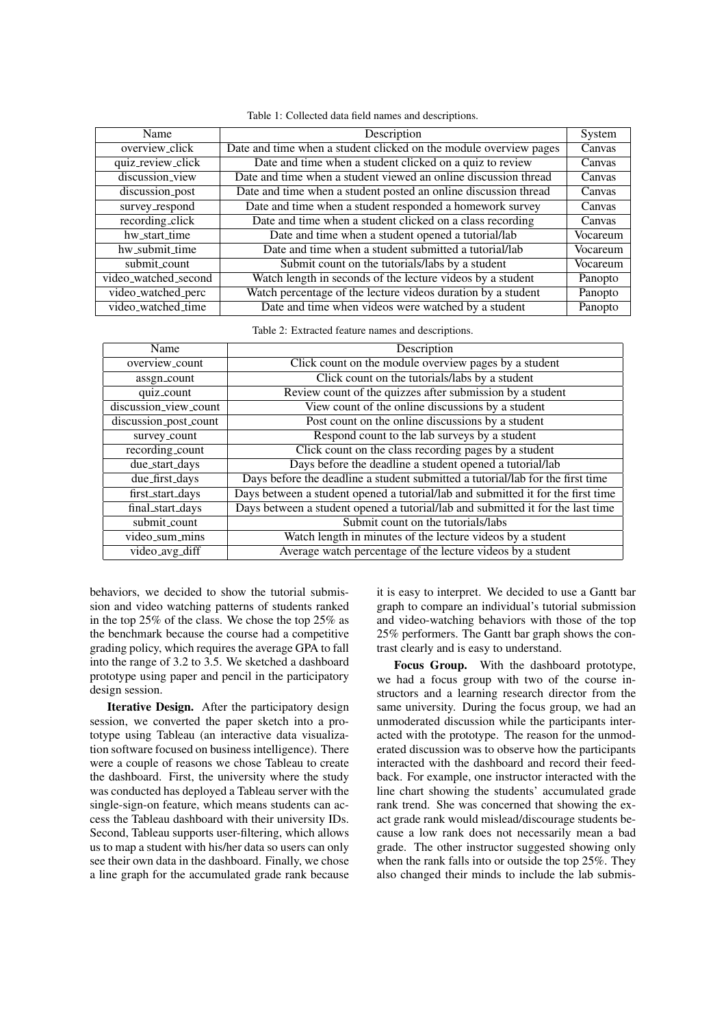|  |  |  |  |  | Table 1: Collected data field names and descriptions. |
|--|--|--|--|--|-------------------------------------------------------|
|--|--|--|--|--|-------------------------------------------------------|

| Description                                                       | System                                                                                                      |
|-------------------------------------------------------------------|-------------------------------------------------------------------------------------------------------------|
| Date and time when a student clicked on the module overview pages | Canvas                                                                                                      |
| Date and time when a student clicked on a quiz to review          | Canvas                                                                                                      |
| Date and time when a student viewed an online discussion thread   | Canvas                                                                                                      |
| Date and time when a student posted an online discussion thread   | Canvas                                                                                                      |
| Date and time when a student responded a homework survey          | Canvas                                                                                                      |
| Date and time when a student clicked on a class recording         | Canvas                                                                                                      |
|                                                                   | Vocareum                                                                                                    |
|                                                                   | Vocareum                                                                                                    |
| Submit count on the tutorials/labs by a student                   | Vocareum                                                                                                    |
| Watch length in seconds of the lecture videos by a student        | Panopto                                                                                                     |
| Watch percentage of the lecture videos duration by a student      | Panopto                                                                                                     |
| Date and time when videos were watched by a student               | Panopto                                                                                                     |
|                                                                   | Date and time when a student opened a tutorial/lab<br>Date and time when a student submitted a tutorial/lab |

Table 2: Extracted feature names and descriptions.

| Name                  | Description                                                                      |
|-----------------------|----------------------------------------------------------------------------------|
| overview_count        | Click count on the module overview pages by a student                            |
| assgn_count           | Click count on the tutorials/labs by a student                                   |
| quiz_count            | Review count of the quizzes after submission by a student                        |
| discussion_view_count | View count of the online discussions by a student                                |
| discussion_post_count | Post count on the online discussions by a student                                |
| survey_count          | Respond count to the lab surveys by a student                                    |
| recording_count       | Click count on the class recording pages by a student                            |
| due_start_days        | Days before the deadline a student opened a tutorial/lab                         |
| due_first_days        | Days before the deadline a student submitted a tutorial/lab for the first time   |
| first_start_days      | Days between a student opened a tutorial/lab and submitted it for the first time |
| final_start_days      | Days between a student opened a tutorial/lab and submitted it for the last time  |
| submit_count          | Submit count on the tutorials/labs                                               |
| video_sum_mins        | Watch length in minutes of the lecture videos by a student                       |
| video_avg_diff        | Average watch percentage of the lecture videos by a student                      |

behaviors, we decided to show the tutorial submission and video watching patterns of students ranked in the top 25% of the class. We chose the top 25% as the benchmark because the course had a competitive grading policy, which requires the average GPA to fall into the range of 3.2 to 3.5. We sketched a dashboard prototype using paper and pencil in the participatory design session.

Iterative Design. After the participatory design session, we converted the paper sketch into a prototype using Tableau (an interactive data visualization software focused on business intelligence). There were a couple of reasons we chose Tableau to create the dashboard. First, the university where the study was conducted has deployed a Tableau server with the single-sign-on feature, which means students can access the Tableau dashboard with their university IDs. Second, Tableau supports user-filtering, which allows us to map a student with his/her data so users can only see their own data in the dashboard. Finally, we chose a line graph for the accumulated grade rank because it is easy to interpret. We decided to use a Gantt bar graph to compare an individual's tutorial submission and video-watching behaviors with those of the top 25% performers. The Gantt bar graph shows the contrast clearly and is easy to understand.

Focus Group. With the dashboard prototype, we had a focus group with two of the course instructors and a learning research director from the same university. During the focus group, we had an unmoderated discussion while the participants interacted with the prototype. The reason for the unmoderated discussion was to observe how the participants interacted with the dashboard and record their feedback. For example, one instructor interacted with the line chart showing the students' accumulated grade rank trend. She was concerned that showing the exact grade rank would mislead/discourage students because a low rank does not necessarily mean a bad grade. The other instructor suggested showing only when the rank falls into or outside the top 25%. They also changed their minds to include the lab submis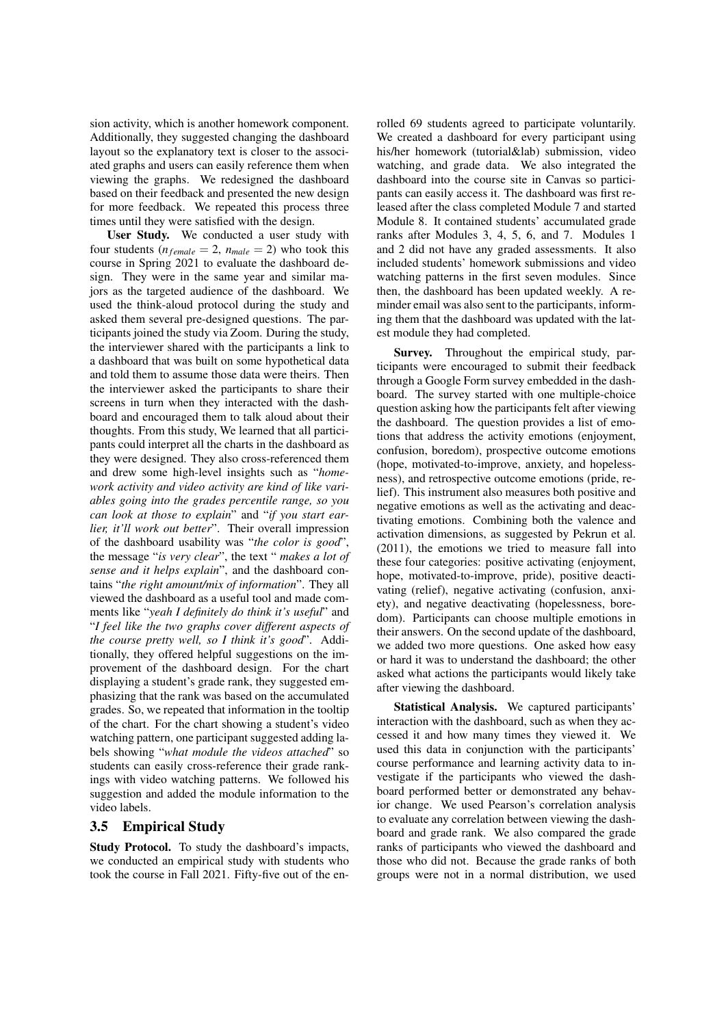sion activity, which is another homework component. Additionally, they suggested changing the dashboard layout so the explanatory text is closer to the associated graphs and users can easily reference them when viewing the graphs. We redesigned the dashboard based on their feedback and presented the new design for more feedback. We repeated this process three times until they were satisfied with the design.

User Study. We conducted a user study with four students ( $n_{female} = 2$ ,  $n_{male} = 2$ ) who took this course in Spring 2021 to evaluate the dashboard design. They were in the same year and similar majors as the targeted audience of the dashboard. We used the think-aloud protocol during the study and asked them several pre-designed questions. The participants joined the study via Zoom. During the study, the interviewer shared with the participants a link to a dashboard that was built on some hypothetical data and told them to assume those data were theirs. Then the interviewer asked the participants to share their screens in turn when they interacted with the dashboard and encouraged them to talk aloud about their thoughts. From this study, We learned that all participants could interpret all the charts in the dashboard as they were designed. They also cross-referenced them and drew some high-level insights such as "*homework activity and video activity are kind of like variables going into the grades percentile range, so you can look at those to explain*" and "*if you start earlier, it'll work out better*". Their overall impression of the dashboard usability was "*the color is good*", the message "*is very clear*", the text " *makes a lot of sense and it helps explain*", and the dashboard contains "*the right amount/mix of information*". They all viewed the dashboard as a useful tool and made comments like "*yeah I definitely do think it's useful*" and "*I feel like the two graphs cover different aspects of the course pretty well, so I think it's good*". Additionally, they offered helpful suggestions on the improvement of the dashboard design. For the chart displaying a student's grade rank, they suggested emphasizing that the rank was based on the accumulated grades. So, we repeated that information in the tooltip of the chart. For the chart showing a student's video watching pattern, one participant suggested adding labels showing "*what module the videos attached*" so students can easily cross-reference their grade rankings with video watching patterns. We followed his suggestion and added the module information to the video labels.

### 3.5 Empirical Study

Study Protocol. To study the dashboard's impacts, we conducted an empirical study with students who took the course in Fall 2021. Fifty-five out of the enrolled 69 students agreed to participate voluntarily. We created a dashboard for every participant using his/her homework (tutorial&lab) submission, video watching, and grade data. We also integrated the dashboard into the course site in Canvas so participants can easily access it. The dashboard was first released after the class completed Module 7 and started Module 8. It contained students' accumulated grade ranks after Modules 3, 4, 5, 6, and 7. Modules 1 and 2 did not have any graded assessments. It also included students' homework submissions and video watching patterns in the first seven modules. Since then, the dashboard has been updated weekly. A reminder email was also sent to the participants, informing them that the dashboard was updated with the latest module they had completed.

Survey. Throughout the empirical study, participants were encouraged to submit their feedback through a Google Form survey embedded in the dashboard. The survey started with one multiple-choice question asking how the participants felt after viewing the dashboard. The question provides a list of emotions that address the activity emotions (enjoyment, confusion, boredom), prospective outcome emotions (hope, motivated-to-improve, anxiety, and hopelessness), and retrospective outcome emotions (pride, relief). This instrument also measures both positive and negative emotions as well as the activating and deactivating emotions. Combining both the valence and activation dimensions, as suggested by Pekrun et al. (2011), the emotions we tried to measure fall into these four categories: positive activating (enjoyment, hope, motivated-to-improve, pride), positive deactivating (relief), negative activating (confusion, anxiety), and negative deactivating (hopelessness, boredom). Participants can choose multiple emotions in their answers. On the second update of the dashboard, we added two more questions. One asked how easy or hard it was to understand the dashboard; the other asked what actions the participants would likely take after viewing the dashboard.

Statistical Analysis. We captured participants' interaction with the dashboard, such as when they accessed it and how many times they viewed it. We used this data in conjunction with the participants' course performance and learning activity data to investigate if the participants who viewed the dashboard performed better or demonstrated any behavior change. We used Pearson's correlation analysis to evaluate any correlation between viewing the dashboard and grade rank. We also compared the grade ranks of participants who viewed the dashboard and those who did not. Because the grade ranks of both groups were not in a normal distribution, we used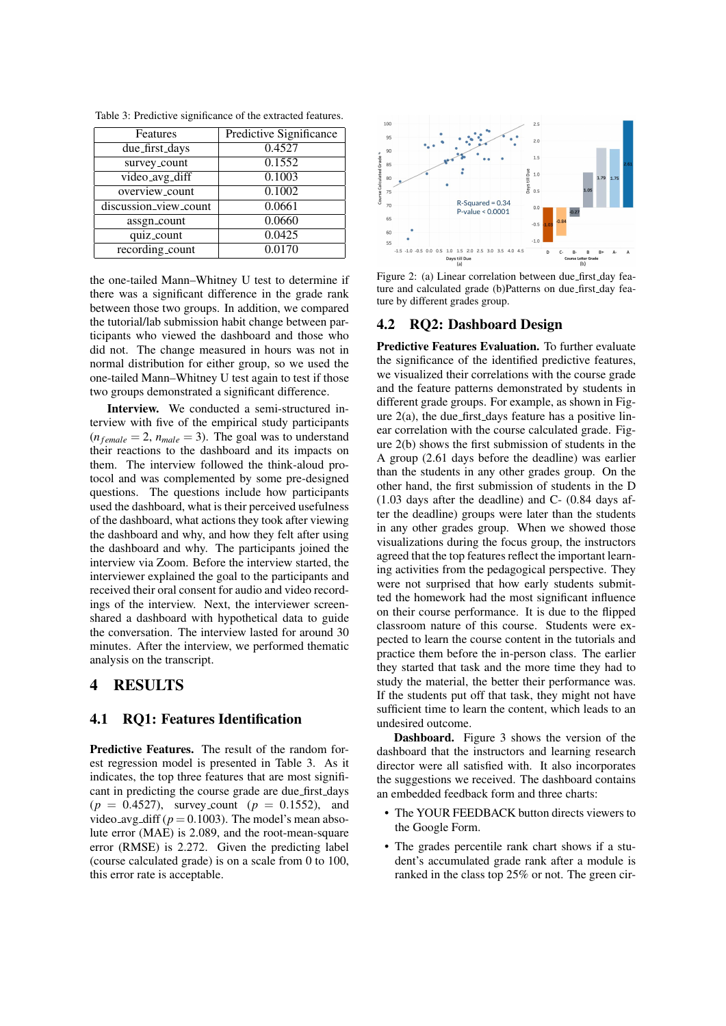| Features              | <b>Predictive Significance</b> |
|-----------------------|--------------------------------|
| due_first_days        | 0.4527                         |
| survey_count          | 0.1552                         |
| video_avg_diff        | 0.1003                         |
| overview_count        | 0.1002                         |
| discussion_view_count | 0.0661                         |
| assgn_count           | 0.0660                         |
| quiz_count            | 0.0425                         |
| recording_count       | 0.0170                         |

Table 3: Predictive significance of the extracted features.

the one-tailed Mann–Whitney U test to determine if there was a significant difference in the grade rank between those two groups. In addition, we compared the tutorial/lab submission habit change between participants who viewed the dashboard and those who did not. The change measured in hours was not in normal distribution for either group, so we used the one-tailed Mann–Whitney U test again to test if those two groups demonstrated a significant difference.

Interview. We conducted a semi-structured interview with five of the empirical study participants  $(n_{female} = 2, n_{male} = 3)$ . The goal was to understand their reactions to the dashboard and its impacts on them. The interview followed the think-aloud protocol and was complemented by some pre-designed questions. The questions include how participants used the dashboard, what is their perceived usefulness of the dashboard, what actions they took after viewing the dashboard and why, and how they felt after using the dashboard and why. The participants joined the interview via Zoom. Before the interview started, the interviewer explained the goal to the participants and received their oral consent for audio and video recordings of the interview. Next, the interviewer screenshared a dashboard with hypothetical data to guide the conversation. The interview lasted for around 30 minutes. After the interview, we performed thematic analysis on the transcript.

### 4 RESULTS

### 4.1 RQ1: Features Identification

Predictive Features. The result of the random forest regression model is presented in Table 3. As it indicates, the top three features that are most significant in predicting the course grade are due\_first\_days  $(p = 0.4527)$ , survey\_count  $(p = 0.1552)$ , and video<sub>-avg-diff ( $p = 0.1003$ ). The model's mean abso-</sub> lute error (MAE) is 2.089, and the root-mean-square error (RMSE) is 2.272. Given the predicting label (course calculated grade) is on a scale from 0 to 100, this error rate is acceptable.



Figure 2: (a) Linear correlation between due first day feature and calculated grade (b)Patterns on due first day feature by different grades group.

#### 4.2 RQ2: Dashboard Design

Predictive Features Evaluation. To further evaluate the significance of the identified predictive features, we visualized their correlations with the course grade and the feature patterns demonstrated by students in different grade groups. For example, as shown in Figure  $2(a)$ , the due first days feature has a positive linear correlation with the course calculated grade. Figure 2(b) shows the first submission of students in the A group (2.61 days before the deadline) was earlier than the students in any other grades group. On the other hand, the first submission of students in the D (1.03 days after the deadline) and C- (0.84 days after the deadline) groups were later than the students in any other grades group. When we showed those visualizations during the focus group, the instructors agreed that the top features reflect the important learning activities from the pedagogical perspective. They were not surprised that how early students submitted the homework had the most significant influence on their course performance. It is due to the flipped classroom nature of this course. Students were expected to learn the course content in the tutorials and practice them before the in-person class. The earlier they started that task and the more time they had to study the material, the better their performance was. If the students put off that task, they might not have sufficient time to learn the content, which leads to an undesired outcome.

Dashboard. Figure 3 shows the version of the dashboard that the instructors and learning research director were all satisfied with. It also incorporates the suggestions we received. The dashboard contains an embedded feedback form and three charts:

- The YOUR FEEDBACK button directs viewers to the Google Form.
- The grades percentile rank chart shows if a student's accumulated grade rank after a module is ranked in the class top 25% or not. The green cir-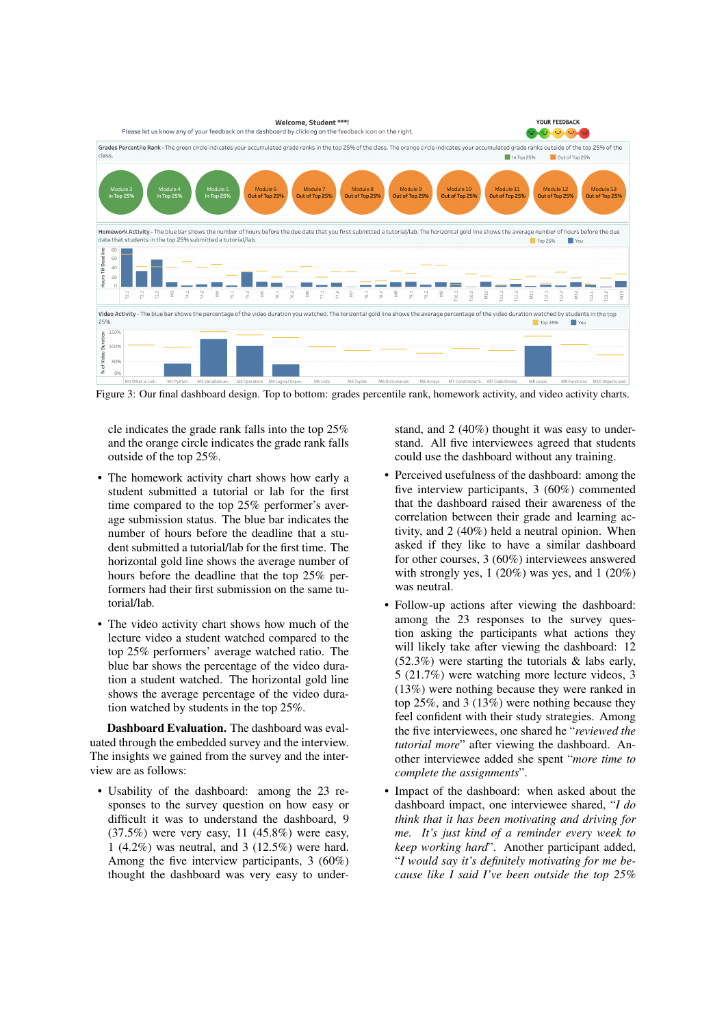

Figure 3: Our final dashboard design. Top to bottom: grades percentile rank, homework activity, and video activity charts.

cle indicates the grade rank falls into the top 25% and the orange circle indicates the grade rank falls outside of the top 25%.

- The homework activity chart shows how early a student submitted a tutorial or lab for the first time compared to the top 25% performer's average submission status. The blue bar indicates the number of hours before the deadline that a student submitted a tutorial/lab for the first time. The horizontal gold line shows the average number of hours before the deadline that the top 25% performers had their first submission on the same tutorial/lab.
- The video activity chart shows how much of the lecture video a student watched compared to the top 25% performers' average watched ratio. The blue bar shows the percentage of the video duration a student watched. The horizontal gold line shows the average percentage of the video duration watched by students in the top 25%.

Dashboard Evaluation. The dashboard was evaluated through the embedded survey and the interview. The insights we gained from the survey and the interview are as follows:

• Usability of the dashboard: among the 23 responses to the survey question on how easy or difficult it was to understand the dashboard, 9 (37.5%) were very easy, 11 (45.8%) were easy, 1 (4.2%) was neutral, and 3 (12.5%) were hard. Among the five interview participants, 3 (60%) thought the dashboard was very easy to understand, and 2 (40%) thought it was easy to understand. All five interviewees agreed that students could use the dashboard without any training.

- Perceived usefulness of the dashboard: among the five interview participants, 3 (60%) commented that the dashboard raised their awareness of the correlation between their grade and learning activity, and 2 (40%) held a neutral opinion. When asked if they like to have a similar dashboard for other courses, 3 (60%) interviewees answered with strongly yes, 1 (20%) was yes, and 1 (20%) was neutral.
- Follow-up actions after viewing the dashboard: among the 23 responses to the survey question asking the participants what actions they will likely take after viewing the dashboard: 12 (52.3%) were starting the tutorials & labs early, 5 (21.7%) were watching more lecture videos, 3 (13%) were nothing because they were ranked in top 25%, and 3 (13%) were nothing because they feel confident with their study strategies. Among the five interviewees, one shared he "*reviewed the tutorial more*" after viewing the dashboard. Another interviewee added she spent "*more time to complete the assignments*".
- Impact of the dashboard: when asked about the dashboard impact, one interviewee shared, "*I do think that it has been motivating and driving for me. It's just kind of a reminder every week to keep working hard*". Another participant added, "*I would say it's definitely motivating for me because like I said I've been outside the top 25%*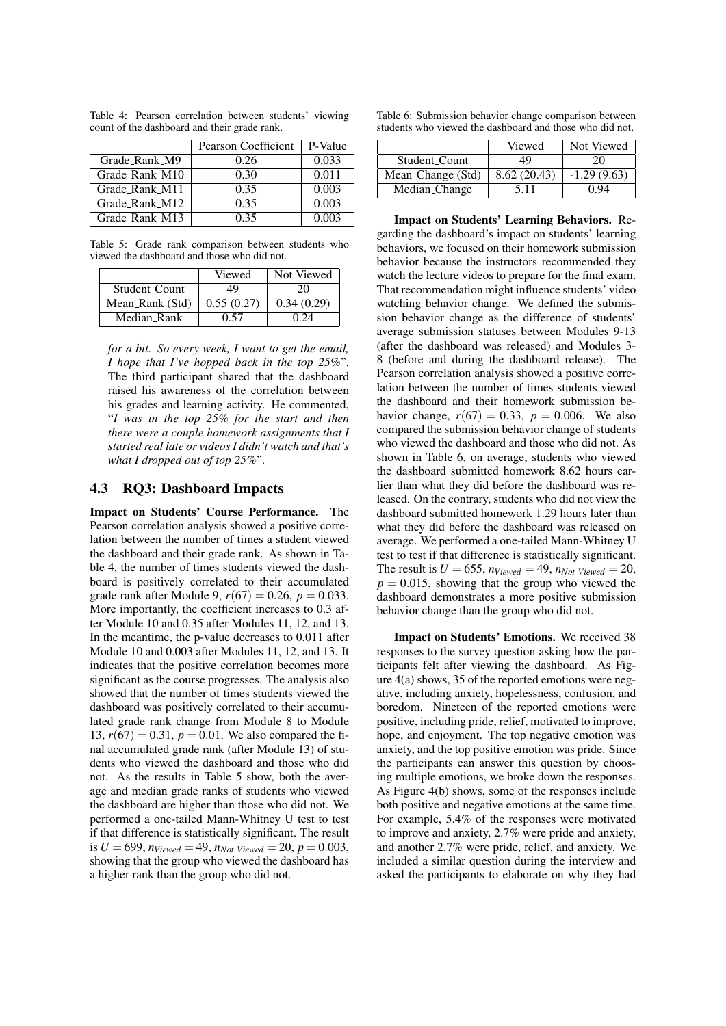|                | Pearson Coefficient | P-Value |
|----------------|---------------------|---------|
| Grade_Rank_M9  | 0.26                | 0.033   |
| Grade_Rank_M10 | 0.30                | 0.011   |
| Grade Rank M11 | 0.35                | 0.003   |
| Grade_Rank_M12 | 0.35                | 0.003   |
| Grade_Rank_M13 | 0.35                | 0.003   |

Table 4: Pearson correlation between students' viewing count of the dashboard and their grade rank.

Table 5: Grade rank comparison between students who viewed the dashboard and those who did not.

|                 | Viewed     | Not Viewed |
|-----------------|------------|------------|
| Student_Count   | 49         | 20         |
| Mean_Rank (Std) | 0.55(0.27) | 0.34(0.29) |
| Median_Rank     | 0.57       | 0.24       |

*for a bit. So every week, I want to get the email, I hope that I've hopped back in the top 25%*". The third participant shared that the dashboard raised his awareness of the correlation between his grades and learning activity. He commented, "*I was in the top 25% for the start and then there were a couple homework assignments that I started real late or videos I didn't watch and that's what I dropped out of top 25%*".

#### 4.3 RQ3: Dashboard Impacts

Impact on Students' Course Performance. The Pearson correlation analysis showed a positive correlation between the number of times a student viewed the dashboard and their grade rank. As shown in Table 4, the number of times students viewed the dashboard is positively correlated to their accumulated grade rank after Module 9,  $r(67) = 0.26$ ,  $p = 0.033$ . More importantly, the coefficient increases to 0.3 after Module 10 and 0.35 after Modules 11, 12, and 13. In the meantime, the p-value decreases to 0.011 after Module 10 and 0.003 after Modules 11, 12, and 13. It indicates that the positive correlation becomes more significant as the course progresses. The analysis also showed that the number of times students viewed the dashboard was positively correlated to their accumulated grade rank change from Module 8 to Module 13,  $r(67) = 0.31$ ,  $p = 0.01$ . We also compared the final accumulated grade rank (after Module 13) of students who viewed the dashboard and those who did not. As the results in Table 5 show, both the average and median grade ranks of students who viewed the dashboard are higher than those who did not. We performed a one-tailed Mann-Whitney U test to test if that difference is statistically significant. The result is  $U = 699$ ,  $n_{Viewed} = 49$ ,  $n_{Not\,Viewed} = 20$ ,  $p = 0.003$ , showing that the group who viewed the dashboard has a higher rank than the group who did not.

Table 6: Submission behavior change comparison between students who viewed the dashboard and those who did not.

|                                   | Viewed      | Not Viewed    |
|-----------------------------------|-------------|---------------|
| Student_Count                     | 49          | 20            |
| Mean_Change (Std)                 | 8.62(20.43) | $-1.29(9.63)$ |
| $\overline{\text{Median}}$ Change | 5.11        | 0 ዓ4          |

Impact on Students' Learning Behaviors. Regarding the dashboard's impact on students' learning behaviors, we focused on their homework submission behavior because the instructors recommended they watch the lecture videos to prepare for the final exam. That recommendation might influence students' video watching behavior change. We defined the submission behavior change as the difference of students' average submission statuses between Modules 9-13 (after the dashboard was released) and Modules 3- 8 (before and during the dashboard release). The Pearson correlation analysis showed a positive correlation between the number of times students viewed the dashboard and their homework submission behavior change,  $r(67) = 0.33$ ,  $p = 0.006$ . We also compared the submission behavior change of students who viewed the dashboard and those who did not. As shown in Table 6, on average, students who viewed the dashboard submitted homework 8.62 hours earlier than what they did before the dashboard was released. On the contrary, students who did not view the dashboard submitted homework 1.29 hours later than what they did before the dashboard was released on average. We performed a one-tailed Mann-Whitney U test to test if that difference is statistically significant. The result is  $U = 655$ ,  $n_{Viewed} = 49$ ,  $n_{Not\ Viewed} = 20$ ,  $p = 0.015$ , showing that the group who viewed the dashboard demonstrates a more positive submission behavior change than the group who did not.

Impact on Students' Emotions. We received 38 responses to the survey question asking how the participants felt after viewing the dashboard. As Figure 4(a) shows, 35 of the reported emotions were negative, including anxiety, hopelessness, confusion, and boredom. Nineteen of the reported emotions were positive, including pride, relief, motivated to improve, hope, and enjoyment. The top negative emotion was anxiety, and the top positive emotion was pride. Since the participants can answer this question by choosing multiple emotions, we broke down the responses. As Figure 4(b) shows, some of the responses include both positive and negative emotions at the same time. For example, 5.4% of the responses were motivated to improve and anxiety, 2.7% were pride and anxiety, and another 2.7% were pride, relief, and anxiety. We included a similar question during the interview and asked the participants to elaborate on why they had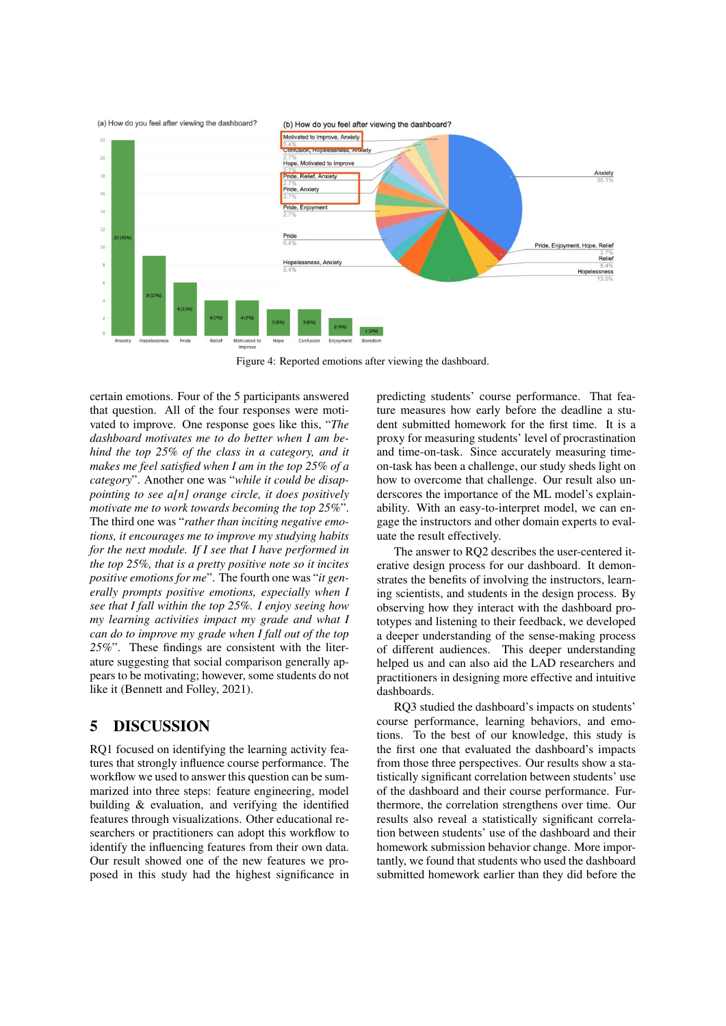

Figure 4: Reported emotions after viewing the dashboard.

certain emotions. Four of the 5 participants answered that question. All of the four responses were motivated to improve. One response goes like this, "*The dashboard motivates me to do better when I am behind the top 25% of the class in a category, and it makes me feel satisfied when I am in the top 25% of a category*". Another one was "*while it could be disappointing to see a[n] orange circle, it does positively motivate me to work towards becoming the top 25%*". The third one was "*rather than inciting negative emotions, it encourages me to improve my studying habits for the next module. If I see that I have performed in the top 25%, that is a pretty positive note so it incites positive emotions for me*". The fourth one was "*it generally prompts positive emotions, especially when I see that I fall within the top 25%. I enjoy seeing how my learning activities impact my grade and what I can do to improve my grade when I fall out of the top 25%*". These findings are consistent with the literature suggesting that social comparison generally appears to be motivating; however, some students do not like it (Bennett and Folley, 2021).

## 5 DISCUSSION

RQ1 focused on identifying the learning activity features that strongly influence course performance. The workflow we used to answer this question can be summarized into three steps: feature engineering, model building & evaluation, and verifying the identified features through visualizations. Other educational researchers or practitioners can adopt this workflow to identify the influencing features from their own data. Our result showed one of the new features we proposed in this study had the highest significance in

predicting students' course performance. That feature measures how early before the deadline a student submitted homework for the first time. It is a proxy for measuring students' level of procrastination and time-on-task. Since accurately measuring timeon-task has been a challenge, our study sheds light on how to overcome that challenge. Our result also underscores the importance of the ML model's explainability. With an easy-to-interpret model, we can engage the instructors and other domain experts to evaluate the result effectively.

The answer to RQ2 describes the user-centered iterative design process for our dashboard. It demonstrates the benefits of involving the instructors, learning scientists, and students in the design process. By observing how they interact with the dashboard prototypes and listening to their feedback, we developed a deeper understanding of the sense-making process of different audiences. This deeper understanding helped us and can also aid the LAD researchers and practitioners in designing more effective and intuitive dashboards.

RQ3 studied the dashboard's impacts on students' course performance, learning behaviors, and emotions. To the best of our knowledge, this study is the first one that evaluated the dashboard's impacts from those three perspectives. Our results show a statistically significant correlation between students' use of the dashboard and their course performance. Furthermore, the correlation strengthens over time. Our results also reveal a statistically significant correlation between students' use of the dashboard and their homework submission behavior change. More importantly, we found that students who used the dashboard submitted homework earlier than they did before the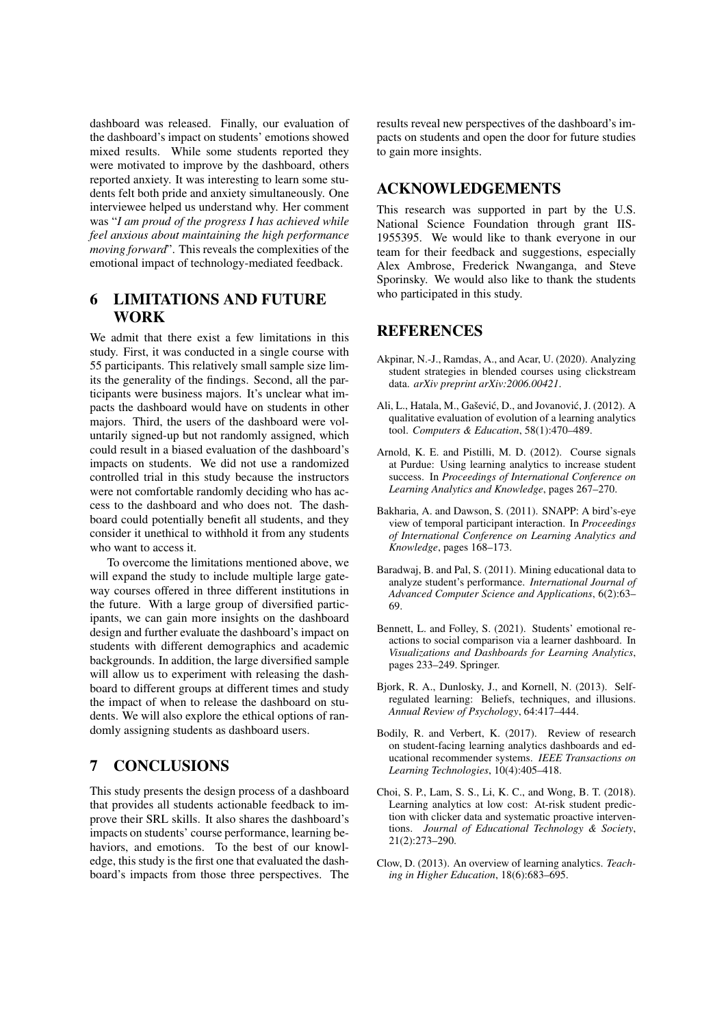dashboard was released. Finally, our evaluation of the dashboard's impact on students' emotions showed mixed results. While some students reported they were motivated to improve by the dashboard, others reported anxiety. It was interesting to learn some students felt both pride and anxiety simultaneously. One interviewee helped us understand why. Her comment was "*I am proud of the progress I has achieved while feel anxious about maintaining the high performance moving forward*". This reveals the complexities of the emotional impact of technology-mediated feedback.

## 6 LIMITATIONS AND FUTURE WORK

We admit that there exist a few limitations in this study. First, it was conducted in a single course with 55 participants. This relatively small sample size limits the generality of the findings. Second, all the participants were business majors. It's unclear what impacts the dashboard would have on students in other majors. Third, the users of the dashboard were voluntarily signed-up but not randomly assigned, which could result in a biased evaluation of the dashboard's impacts on students. We did not use a randomized controlled trial in this study because the instructors were not comfortable randomly deciding who has access to the dashboard and who does not. The dashboard could potentially benefit all students, and they consider it unethical to withhold it from any students who want to access it.

To overcome the limitations mentioned above, we will expand the study to include multiple large gateway courses offered in three different institutions in the future. With a large group of diversified participants, we can gain more insights on the dashboard design and further evaluate the dashboard's impact on students with different demographics and academic backgrounds. In addition, the large diversified sample will allow us to experiment with releasing the dashboard to different groups at different times and study the impact of when to release the dashboard on students. We will also explore the ethical options of randomly assigning students as dashboard users.

## 7 CONCLUSIONS

This study presents the design process of a dashboard that provides all students actionable feedback to improve their SRL skills. It also shares the dashboard's impacts on students' course performance, learning behaviors, and emotions. To the best of our knowledge, this study is the first one that evaluated the dashboard's impacts from those three perspectives. The results reveal new perspectives of the dashboard's impacts on students and open the door for future studies to gain more insights.

### ACKNOWLEDGEMENTS

This research was supported in part by the U.S. National Science Foundation through grant IIS-1955395. We would like to thank everyone in our team for their feedback and suggestions, especially Alex Ambrose, Frederick Nwanganga, and Steve Sporinsky. We would also like to thank the students who participated in this study.

### REFERENCES

- Akpinar, N.-J., Ramdas, A., and Acar, U. (2020). Analyzing student strategies in blended courses using clickstream data. *arXiv preprint arXiv:2006.00421*.
- Ali, L., Hatala, M., Gašević, D., and Jovanović, J. (2012). A qualitative evaluation of evolution of a learning analytics tool. *Computers & Education*, 58(1):470–489.
- Arnold, K. E. and Pistilli, M. D. (2012). Course signals at Purdue: Using learning analytics to increase student success. In *Proceedings of International Conference on Learning Analytics and Knowledge*, pages 267–270.
- Bakharia, A. and Dawson, S. (2011). SNAPP: A bird's-eye view of temporal participant interaction. In *Proceedings of International Conference on Learning Analytics and Knowledge*, pages 168–173.
- Baradwaj, B. and Pal, S. (2011). Mining educational data to analyze student's performance. *International Journal of Advanced Computer Science and Applications*, 6(2):63– 69.
- Bennett, L. and Folley, S. (2021). Students' emotional reactions to social comparison via a learner dashboard. In *Visualizations and Dashboards for Learning Analytics*, pages 233–249. Springer.
- Bjork, R. A., Dunlosky, J., and Kornell, N. (2013). Selfregulated learning: Beliefs, techniques, and illusions. *Annual Review of Psychology*, 64:417–444.
- Bodily, R. and Verbert, K. (2017). Review of research on student-facing learning analytics dashboards and educational recommender systems. *IEEE Transactions on Learning Technologies*, 10(4):405–418.
- Choi, S. P., Lam, S. S., Li, K. C., and Wong, B. T. (2018). Learning analytics at low cost: At-risk student prediction with clicker data and systematic proactive interventions. *Journal of Educational Technology & Society*, 21(2):273–290.
- Clow, D. (2013). An overview of learning analytics. *Teaching in Higher Education*, 18(6):683–695.